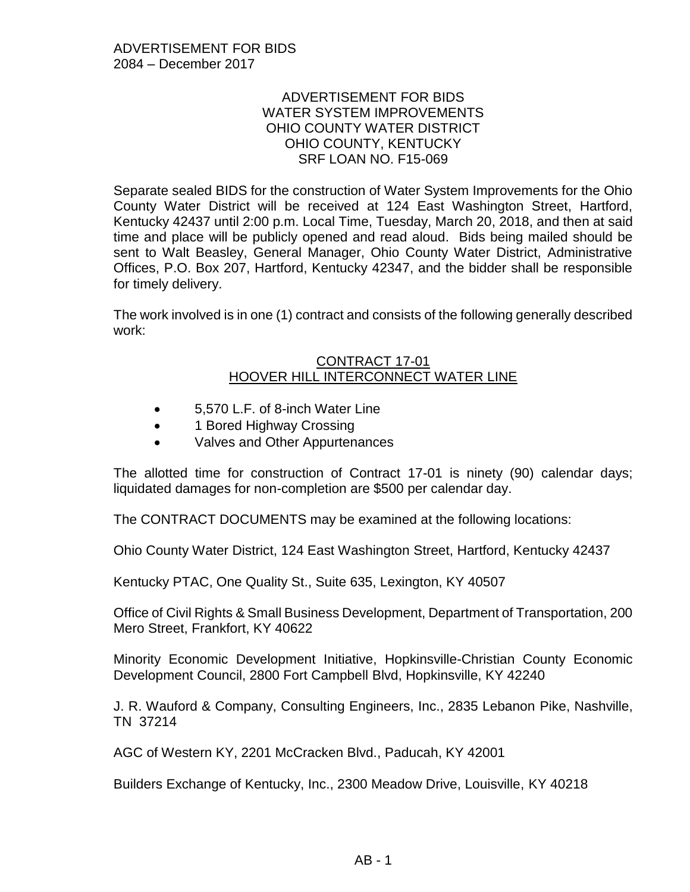## ADVERTISEMENT FOR BIDS WATER SYSTEM IMPROVEMENTS OHIO COUNTY WATER DISTRICT OHIO COUNTY, KENTUCKY SRF LOAN NO. F15-069

Separate sealed BIDS for the construction of Water System Improvements for the Ohio County Water District will be received at 124 East Washington Street, Hartford, Kentucky 42437 until 2:00 p.m. Local Time, Tuesday, March 20, 2018, and then at said time and place will be publicly opened and read aloud. Bids being mailed should be sent to Walt Beasley, General Manager, Ohio County Water District, Administrative Offices, P.O. Box 207, Hartford, Kentucky 42347, and the bidder shall be responsible for timely delivery.

The work involved is in one (1) contract and consists of the following generally described work:

## CONTRACT 17-01 HOOVER HILL INTERCONNECT WATER LINE

- 5,570 L.F. of 8-inch Water Line
- 1 Bored Highway Crossing
- Valves and Other Appurtenances

The allotted time for construction of Contract 17-01 is ninety (90) calendar days; liquidated damages for non-completion are \$500 per calendar day.

The CONTRACT DOCUMENTS may be examined at the following locations:

Ohio County Water District, 124 East Washington Street, Hartford, Kentucky 42437

Kentucky PTAC, One Quality St., Suite 635, Lexington, KY 40507

Office of Civil Rights & Small Business Development, Department of Transportation, 200 Mero Street, Frankfort, KY 40622

Minority Economic Development Initiative, Hopkinsville-Christian County Economic Development Council, 2800 Fort Campbell Blvd, Hopkinsville, KY 42240

J. R. Wauford & Company, Consulting Engineers, Inc., 2835 Lebanon Pike, Nashville, TN 37214

AGC of Western KY, 2201 McCracken Blvd., Paducah, KY 42001

Builders Exchange of Kentucky, Inc., 2300 Meadow Drive, Louisville, KY 40218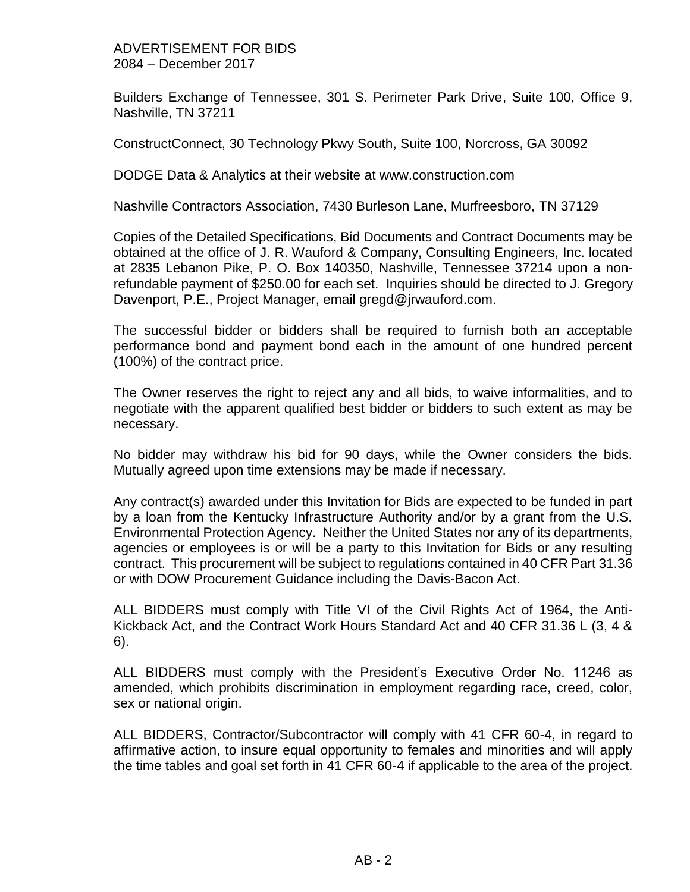## ADVERTISEMENT FOR BIDS 2084 – December 2017

Builders Exchange of Tennessee, 301 S. Perimeter Park Drive, Suite 100, Office 9, Nashville, TN 37211

ConstructConnect, 30 Technology Pkwy South, Suite 100, Norcross, GA 30092

DODGE Data & Analytics at their website at www.construction.com

Nashville Contractors Association, 7430 Burleson Lane, Murfreesboro, TN 37129

Copies of the Detailed Specifications, Bid Documents and Contract Documents may be obtained at the office of J. R. Wauford & Company, Consulting Engineers, Inc. located at 2835 Lebanon Pike, P. O. Box 140350, Nashville, Tennessee 37214 upon a nonrefundable payment of \$250.00 for each set. Inquiries should be directed to J. Gregory Davenport, P.E., Project Manager, email gregd@jrwauford.com.

The successful bidder or bidders shall be required to furnish both an acceptable performance bond and payment bond each in the amount of one hundred percent (100%) of the contract price.

The Owner reserves the right to reject any and all bids, to waive informalities, and to negotiate with the apparent qualified best bidder or bidders to such extent as may be necessary.

No bidder may withdraw his bid for 90 days, while the Owner considers the bids. Mutually agreed upon time extensions may be made if necessary.

Any contract(s) awarded under this Invitation for Bids are expected to be funded in part by a loan from the Kentucky Infrastructure Authority and/or by a grant from the U.S. Environmental Protection Agency. Neither the United States nor any of its departments, agencies or employees is or will be a party to this Invitation for Bids or any resulting contract. This procurement will be subject to regulations contained in 40 CFR Part 31.36 or with DOW Procurement Guidance including the Davis-Bacon Act.

ALL BIDDERS must comply with Title VI of the Civil Rights Act of 1964, the Anti-Kickback Act, and the Contract Work Hours Standard Act and 40 CFR 31.36 L (3, 4 & 6).

ALL BIDDERS must comply with the President's Executive Order No. 11246 as amended, which prohibits discrimination in employment regarding race, creed, color, sex or national origin.

ALL BIDDERS, Contractor/Subcontractor will comply with 41 CFR 60-4, in regard to affirmative action, to insure equal opportunity to females and minorities and will apply the time tables and goal set forth in 41 CFR 60-4 if applicable to the area of the project.